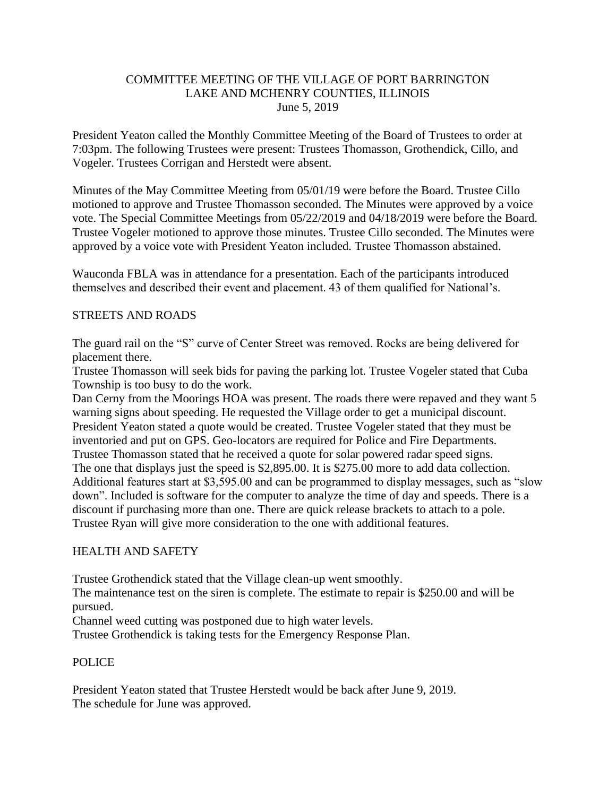### COMMITTEE MEETING OF THE VILLAGE OF PORT BARRINGTON LAKE AND MCHENRY COUNTIES, ILLINOIS June 5, 2019

President Yeaton called the Monthly Committee Meeting of the Board of Trustees to order at 7:03pm. The following Trustees were present: Trustees Thomasson, Grothendick, Cillo, and Vogeler. Trustees Corrigan and Herstedt were absent.

Minutes of the May Committee Meeting from 05/01/19 were before the Board. Trustee Cillo motioned to approve and Trustee Thomasson seconded. The Minutes were approved by a voice vote. The Special Committee Meetings from 05/22/2019 and 04/18/2019 were before the Board. Trustee Vogeler motioned to approve those minutes. Trustee Cillo seconded. The Minutes were approved by a voice vote with President Yeaton included. Trustee Thomasson abstained.

Wauconda FBLA was in attendance for a presentation. Each of the participants introduced themselves and described their event and placement. 43 of them qualified for National's.

## STREETS AND ROADS

The guard rail on the "S" curve of Center Street was removed. Rocks are being delivered for placement there.

Trustee Thomasson will seek bids for paving the parking lot. Trustee Vogeler stated that Cuba Township is too busy to do the work.

Dan Cerny from the Moorings HOA was present. The roads there were repaved and they want 5 warning signs about speeding. He requested the Village order to get a municipal discount. President Yeaton stated a quote would be created. Trustee Vogeler stated that they must be inventoried and put on GPS. Geo-locators are required for Police and Fire Departments. Trustee Thomasson stated that he received a quote for solar powered radar speed signs. The one that displays just the speed is \$2,895.00. It is \$275.00 more to add data collection. Additional features start at \$3,595.00 and can be programmed to display messages, such as "slow down". Included is software for the computer to analyze the time of day and speeds. There is a discount if purchasing more than one. There are quick release brackets to attach to a pole. Trustee Ryan will give more consideration to the one with additional features.

### HEALTH AND SAFETY

Trustee Grothendick stated that the Village clean-up went smoothly.

The maintenance test on the siren is complete. The estimate to repair is \$250.00 and will be pursued.

Channel weed cutting was postponed due to high water levels.

Trustee Grothendick is taking tests for the Emergency Response Plan.

### POLICE

President Yeaton stated that Trustee Herstedt would be back after June 9, 2019. The schedule for June was approved.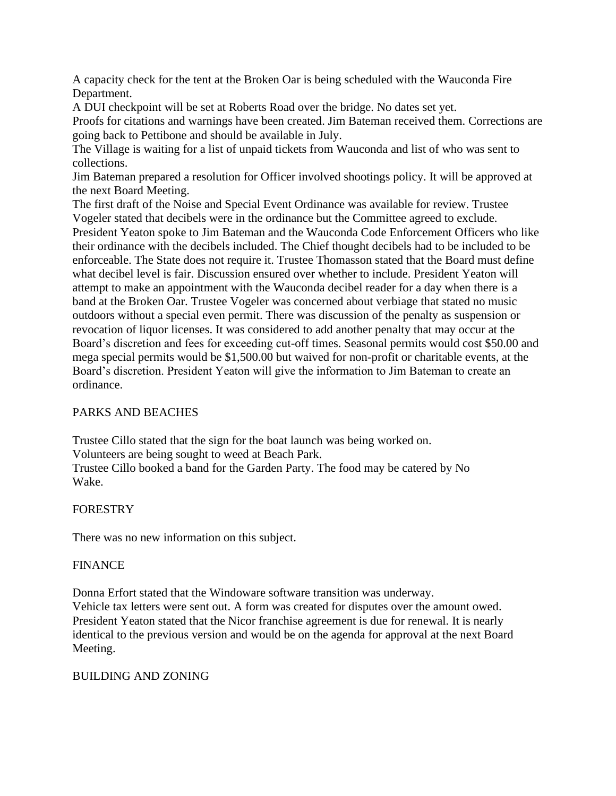A capacity check for the tent at the Broken Oar is being scheduled with the Wauconda Fire Department.

A DUI checkpoint will be set at Roberts Road over the bridge. No dates set yet.

Proofs for citations and warnings have been created. Jim Bateman received them. Corrections are going back to Pettibone and should be available in July.

The Village is waiting for a list of unpaid tickets from Wauconda and list of who was sent to collections.

Jim Bateman prepared a resolution for Officer involved shootings policy. It will be approved at the next Board Meeting.

The first draft of the Noise and Special Event Ordinance was available for review. Trustee Vogeler stated that decibels were in the ordinance but the Committee agreed to exclude. President Yeaton spoke to Jim Bateman and the Wauconda Code Enforcement Officers who like their ordinance with the decibels included. The Chief thought decibels had to be included to be enforceable. The State does not require it. Trustee Thomasson stated that the Board must define what decibel level is fair. Discussion ensured over whether to include. President Yeaton will attempt to make an appointment with the Wauconda decibel reader for a day when there is a band at the Broken Oar. Trustee Vogeler was concerned about verbiage that stated no music outdoors without a special even permit. There was discussion of the penalty as suspension or revocation of liquor licenses. It was considered to add another penalty that may occur at the Board's discretion and fees for exceeding cut-off times. Seasonal permits would cost \$50.00 and mega special permits would be \$1,500.00 but waived for non-profit or charitable events, at the Board's discretion. President Yeaton will give the information to Jim Bateman to create an ordinance.

# PARKS AND BEACHES

Trustee Cillo stated that the sign for the boat launch was being worked on. Volunteers are being sought to weed at Beach Park. Trustee Cillo booked a band for the Garden Party. The food may be catered by No Wake.

# FORESTRY

There was no new information on this subject.

### FINANCE

Donna Erfort stated that the Windoware software transition was underway. Vehicle tax letters were sent out. A form was created for disputes over the amount owed. President Yeaton stated that the Nicor franchise agreement is due for renewal. It is nearly identical to the previous version and would be on the agenda for approval at the next Board Meeting.

### BUILDING AND ZONING